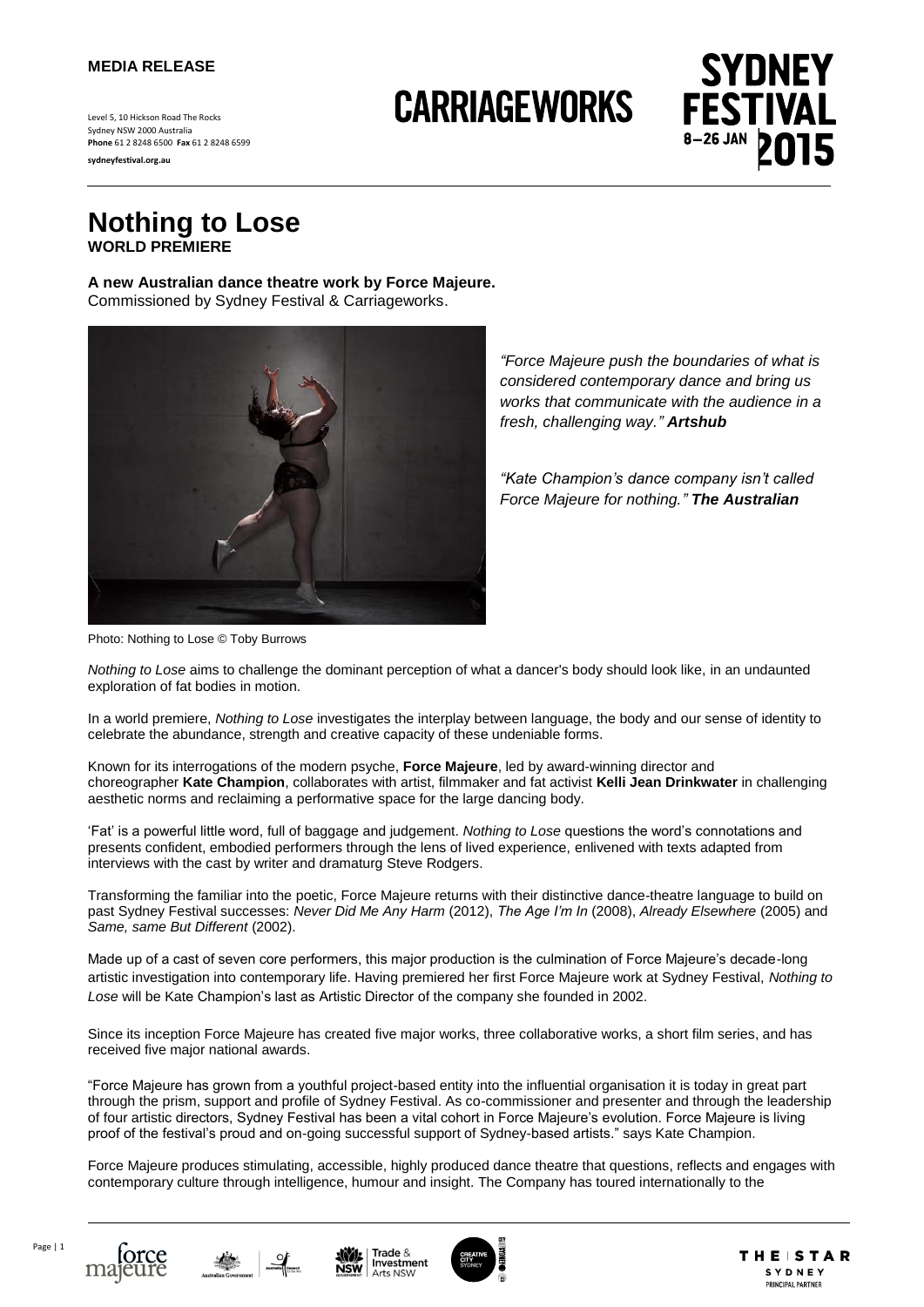#### **MEDIA RELEASE**

Level 5, 10 Hickson Road The Rocks Sydney NSW 2000 Australia **Phone** 61 2 8248 6500 **Fax** 61 2 8248 6599

**sydneyfestival.org.au**

# **CARRIAGEWORKS**



**Nothing to Lose WORLD PREMIERE**

**A new Australian dance theatre work by Force Majeure.** Commissioned by Sydney Festival & Carriageworks.



*"Force Majeure push the boundaries of what is considered contemporary dance and bring us works that communicate with the audience in a fresh, challenging way." Artshub*

*"Kate Champion's dance company isn't called Force Majeure for nothing." The Australian*

Photo: Nothing to Lose © Toby Burrows

*Nothing to Lose* aims to challenge the dominant perception of what a dancer's body should look like, in an undaunted exploration of fat bodies in motion.

In a world premiere, *Nothing to Lose* investigates the interplay between language, the body and our sense of identity to celebrate the abundance, strength and creative capacity of these undeniable forms.

Known for its interrogations of the modern psyche, **Force Majeure**, led by award-winning director and choreographer **Kate Champion**, collaborates with artist, filmmaker and fat activist **Kelli Jean Drinkwater** in challenging aesthetic norms and reclaiming a performative space for the large dancing body.

'Fat' is a powerful little word, full of baggage and judgement. *Nothing to Lose* questions the word's connotations and presents confident, embodied performers through the lens of lived experience, enlivened with texts adapted from interviews with the cast by writer and dramaturg Steve Rodgers.

Transforming the familiar into the poetic, Force Majeure returns with their distinctive dance-theatre language to build on past Sydney Festival successes: *Never Did Me Any Harm* (2012), *The Age I'm In* (2008), *Already Elsewhere* (2005) and *Same, same But Different* (2002).

Made up of a cast of seven core performers, this major production is the culmination of Force Majeure's decade-long artistic investigation into contemporary life. Having premiered her first Force Majeure work at Sydney Festival, *Nothing to Lose* will be Kate Champion's last as Artistic Director of the company she founded in 2002.

Since its inception Force Majeure has created five major works, three collaborative works, a short film series, and has received five major national awards.

"Force Majeure has grown from a youthful project-based entity into the influential organisation it is today in great part through the prism, support and profile of Sydney Festival. As co-commissioner and presenter and through the leadership of four artistic directors, Sydney Festival has been a vital cohort in Force Majeure's evolution. Force Majeure is living proof of the festival's proud and on-going successful support of Sydney-based artists." says Kate Champion.

Force Majeure produces stimulating, accessible, highly produced dance theatre that questions, reflects and engages with contemporary culture through intelligence, humour and insight. The Company has toured internationally to the